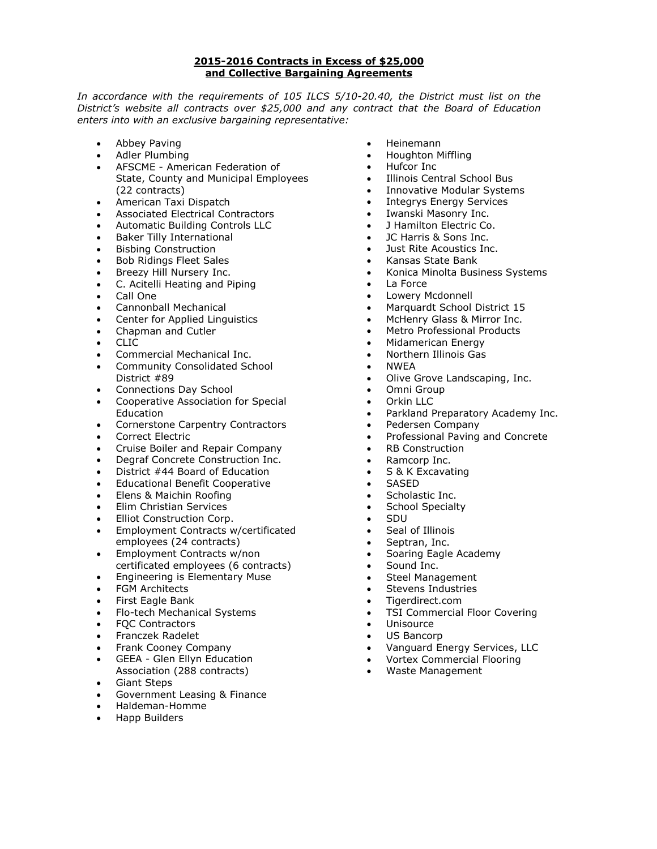#### **2015-2016 Contracts in Excess of \$25,000 and Collective Bargaining Agreements**

In accordance with the requirements of 105 ILCS 5/10-20.40, the District must list on the *District's website all contracts over \$25,000 and any contract that the Board of Education enters into with an exclusive bargaining representative:*

- Abbey Paving
- Adler Plumbing
- AFSCME American Federation of State, County and Municipal Employees (22 contracts)
- American Taxi Dispatch
- Associated Electrical Contractors
- Automatic Building Controls LLC
- Baker Tilly International
- Bisbing Construction
- Bob Ridings Fleet Sales
- Breezy Hill Nursery Inc.
- C. Acitelli Heating and Piping
- Call One
- Cannonball Mechanical
- Center for Applied Linguistics
- Chapman and Cutler
- CLIC
- Commercial Mechanical Inc.
- Community Consolidated School District #89
- Connections Day School
- Cooperative Association for Special **Education**
- Cornerstone Carpentry Contractors
- Correct Electric
- Cruise Boiler and Repair Company
- Degraf Concrete Construction Inc.
- District #44 Board of Education
- Educational Benefit Cooperative
- Elens & Maichin Roofing
- Elim Christian Services
- Elliot Construction Corp.
- Employment Contracts w/certificated employees (24 contracts)
- Employment Contracts w/non certificated employees (6 contracts)
- Engineering is Elementary Muse
- FGM Architects
- First Eagle Bank
- Flo-tech Mechanical Systems
- FQC Contractors
- Franczek Radelet
- Frank Cooney Company
- GEEA Glen Ellyn Education
- Association (288 contracts)
- Giant Steps
- Government Leasing & Finance
- Haldeman-Homme
- Happ Builders
- Heinemann
- Houghton Miffling
- Hufcor Inc
- Illinois Central School Bus
- Innovative Modular Systems
- Integrys Energy Services
- Iwanski Masonry Inc.
- J Hamilton Electric Co.
- JC Harris & Sons Inc.
- Just Rite Acoustics Inc.
- Kansas State Bank
- Konica Minolta Business Systems
- La Force
- Lowery Mcdonnell
- Marquardt School District 15
- McHenry Glass & Mirror Inc.
- Metro Professional Products
- Midamerican Energy
- Northern Illinois Gas
- NWEA
- Olive Grove Landscaping, Inc.
- Omni Group
- Orkin LLC
- Parkland Preparatory Academy Inc.
- Pedersen Company
- Professional Paving and Concrete
- RB Construction
- Ramcorp Inc.
- S & K Excavating
- SASED
- Scholastic Inc.
- School Specialty
- SDU
- Seal of Illinois
- Septran, Inc.
- Soaring Eagle Academy
- Sound Inc.
- Steel Management
- Stevens Industries
- Tigerdirect.com
- TSI Commercial Floor Covering
- Unisource
- US Bancorp
- Vanguard Energy Services, LLC
- Vortex Commercial Flooring
- Waste Management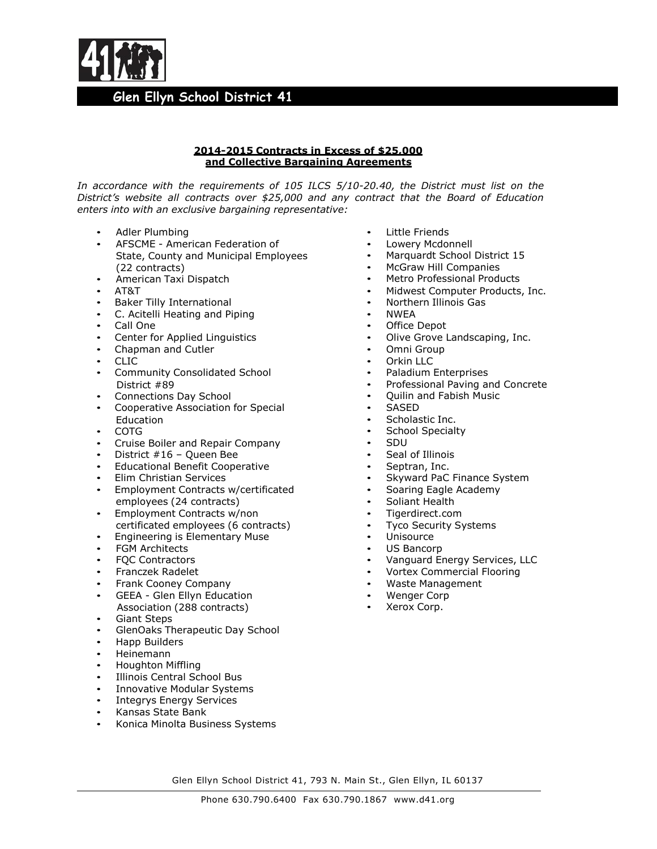

### **2014-2015 Contracts in Excess of \$25,000 and Collective Bargaining Agreements**

*In accordance with the requirements of 105 ILCS 5/10-20.40, the District must list on the District's website all contracts over \$25,000 and any contract that the Board of Education enters into with an exclusive bargaining representative:*

- Adler Plumbing
- AFSCME American Federation of
- State, County and Municipal Employees (22 contracts)
- American Taxi Dispatch
- AT&T
- Baker Tilly International
- C. Acitelli Heating and Piping
- Call One
- Center for Applied Linguistics
- Chapman and Cutler
- CLIC
- Community Consolidated School District #89
- Connections Day School
- Cooperative Association for Special Education
- COTG
- Cruise Boiler and Repair Company
- District #16 Queen Bee
- Educational Benefit Cooperative
- Elim Christian Services
- Employment Contracts w/certificated employees (24 contracts)
- Employment Contracts w/non certificated employees (6 contracts)
- Engineering is Elementary Muse
- FGM Architects
- FQC Contractors
- Franczek Radelet
- Frank Cooney Company
- GEEA Glen Ellyn Education
- Association (288 contracts) • Giant Steps
- GlenOaks Therapeutic Day School
- Happ Builders
- Heinemann
- Houghton Miffling
- Illinois Central School Bus
- Innovative Modular Systems
- Integrys Energy Services
- Kansas State Bank
- Konica Minolta Business Systems
- Little Friends
- Lowery Mcdonnell
- Marquardt School District 15
- McGraw Hill Companies
- Metro Professional Products
- Midwest Computer Products, Inc.
- Northern Illinois Gas
- NWEA
- Office Depot
- Olive Grove Landscaping, Inc.
- Omni Group
- Orkin LLC
- Paladium Enterprises
- Professional Paving and Concrete
- Quilin and Fabish Music
- SASED
- Scholastic Inc.<br>• School Snecialt
- School Specialty
- SDU
- Seal of Illinois<br>• Septran Inc
- Septran, Inc.
- Skyward PaC Finance System
- Soaring Eagle Academy
- Soliant Health
- Tigerdirect.com
- **Tyco Security Systems**
- Unisource
- US Bancorp
- Vanguard Energy Services, LLC
- Vortex Commercial Flooring
- Waste Management
- Wenger Corp
- Xerox Corp.

Glen Ellyn School District 41, 793 N. Main St., Glen Ellyn, IL 60137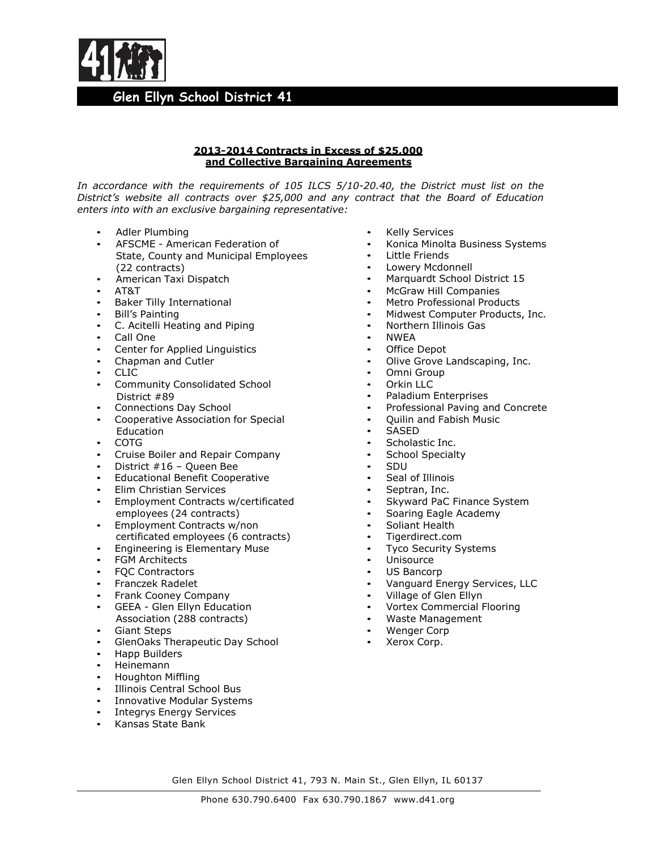

### **2013-2014 Contracts in Excess of \$25,000 and Collective Bargaining Agreements**

*In accordance with the requirements of 105 ILCS 5/10-20.40, the District must list on the District's website all contracts over \$25,000 and any contract that the Board of Education enters into with an exclusive bargaining representative:*

- Adler Plumbing
- AFSCME American Federation of State, County and Municipal Employees (22 contracts)
- American Taxi Dispatch
- AT&T
- Baker Tilly International
- Bill's Painting
- C. Acitelli Heating and Piping
- Call One
- Center for Applied Linguistics
- Chapman and Cutler
- CLIC
- Community Consolidated School District #89
- Connections Day School
- Cooperative Association for Special Education
- COTG
- Cruise Boiler and Repair Company
- District #16 Queen Bee
- Educational Benefit Cooperative
- Elim Christian Services
- Employment Contracts w/certificated employees (24 contracts)
- Employment Contracts w/non certificated employees (6 contracts)
- Engineering is Elementary Muse
- **FGM Architects**
- FQC Contractors
- Franczek Radelet
- Frank Cooney Company
- GEEA Glen Ellyn Education Association (288 contracts)
- Giant Steps
- GlenOaks Therapeutic Day School
- Happ Builders
- Heinemann
- Houghton Miffling
- Illinois Central School Bus
- Innovative Modular Systems
- Integrys Energy Services
- Kansas State Bank
- Kelly Services
- Konica Minolta Business Systems
- Little Friends
- Lowery Mcdonnell
- Marquardt School District 15
- McGraw Hill Companies
- Metro Professional Products
- Midwest Computer Products, Inc.
- Northern Illinois Gas
- NWEA
- Office Depot
- Olive Grove Landscaping, Inc.
- Omni Group
- Orkin LLC
- Paladium Enterprises
- Professional Paving and Concrete
- Quilin and Fabish Music
- SASED
- Scholastic Inc.
- School Specialty
- SDU
- Seal of Illinois
- Septran, Inc.
- Skyward PaC Finance System
- Soaring Eagle Academy
- Soliant Health
- Tigerdirect.com
- Tyco Security Systems
- **Unisource**
- US Bancorp
- Vanguard Energy Services, LLC
- Village of Glen Ellyn
- Vortex Commercial Flooring
- Waste Management
- Wenger Corp
- Xerox Corp.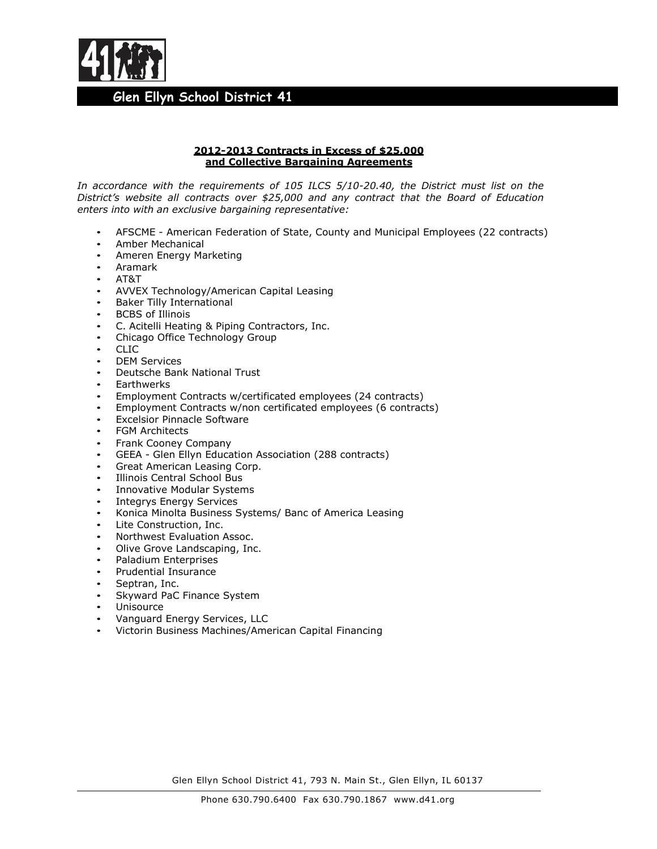

### **2012-2013 Contracts in Excess of \$25,000 and Collective Bargaining Agreements**

*In accordance with the requirements of 105 ILCS 5/10-20.40, the District must list on the District's website all contracts over \$25,000 and any contract that the Board of Education enters into with an exclusive bargaining representative:*

- AFSCME American Federation of State, County and Municipal Employees (22 contracts)
- Amber Mechanical
- Ameren Energy Marketing
- Aramark
- AT&T
- AVVEX Technology/American Capital Leasing
- Baker Tilly International
- **BCBS** of Illinois
- C. Acitelli Heating & Piping Contractors, Inc.
- Chicago Office Technology Group
- CLIC
- DEM Services
- Deutsche Bank National Trust
- **Earthwerks**
- Employment Contracts w/certificated employees (24 contracts)
- Employment Contracts w/non certificated employees (6 contracts)
- **Excelsior Pinnacle Software**
- FGM Architects
- Frank Cooney Company
- GEEA Glen Ellyn Education Association (288 contracts)
- Great American Leasing Corp.
- Illinois Central School Bus
- Innovative Modular Systems
- Integrys Energy Services
- Konica Minolta Business Systems/ Banc of America Leasing
- Lite Construction, Inc.
- Northwest Evaluation Assoc.
- Olive Grove Landscaping, Inc.
- Paladium Enterprises
- Prudential Insurance
- Septran, Inc.
- Skyward PaC Finance System
- **Unisource**
- Vanguard Energy Services, LLC
- Victorin Business Machines/American Capital Financing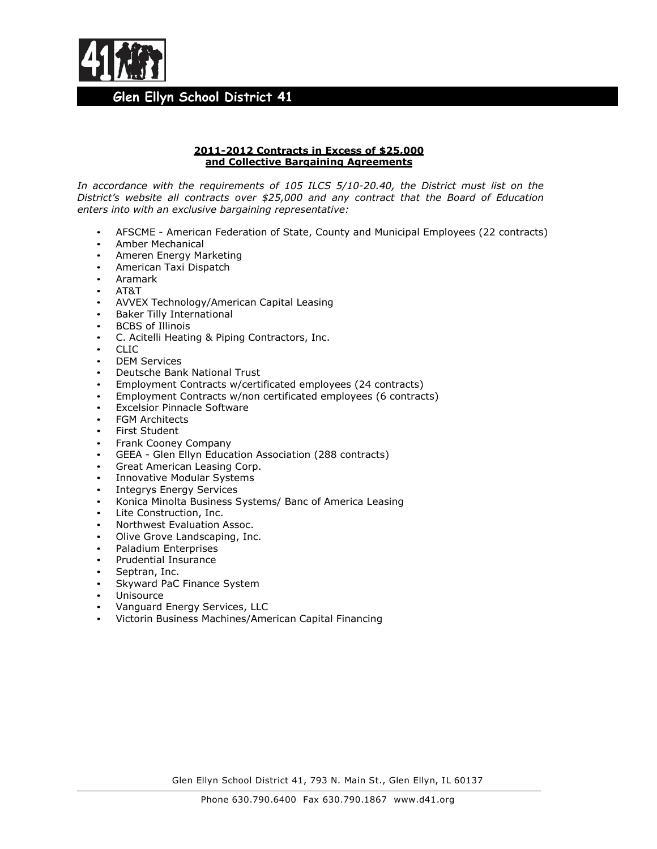

### **2011-2012 Contracts in Excess of \$25,000 and Collective Bargaining Agreements**

*In accordance with the requirements of 105 ILCS 5/10-20.40, the District must list on the District's website all contracts over \$25,000 and any contract that the Board of Education enters into with an exclusive bargaining representative:*

- AFSCME American Federation of State, County and Municipal Employees (22 contracts)
- Amber Mechanical
- Ameren Energy Marketing
- American Taxi Dispatch
- Aramark
- AT&T
- AVVEX Technology/American Capital Leasing
- Baker Tilly International
- **BCBS** of Illinois
- C. Acitelli Heating & Piping Contractors, Inc.
- CLIC
- DEM Services
- Deutsche Bank National Trust
- Employment Contracts w/certificated employees (24 contracts)
- Employment Contracts w/non certificated employees (6 contracts)
- Excelsior Pinnacle Software
- **FGM Architects**
- First Student
- Frank Cooney Company
- GEEA Glen Ellyn Education Association (288 contracts)
- Great American Leasing Corp.
- Innovative Modular Systems
- Integrys Energy Services
- Konica Minolta Business Systems/ Banc of America Leasing
- Lite Construction, Inc.
- Northwest Evaluation Assoc.
- Olive Grove Landscaping, Inc.
- Paladium Enterprises
- Prudential Insurance
- Septran, Inc.
- Skyward PaC Finance System
- **Unisource**
- Vanguard Energy Services, LLC
- Victorin Business Machines/American Capital Financing

Glen Ellyn School District 41, 793 N. Main St., Glen Ellyn, IL 60137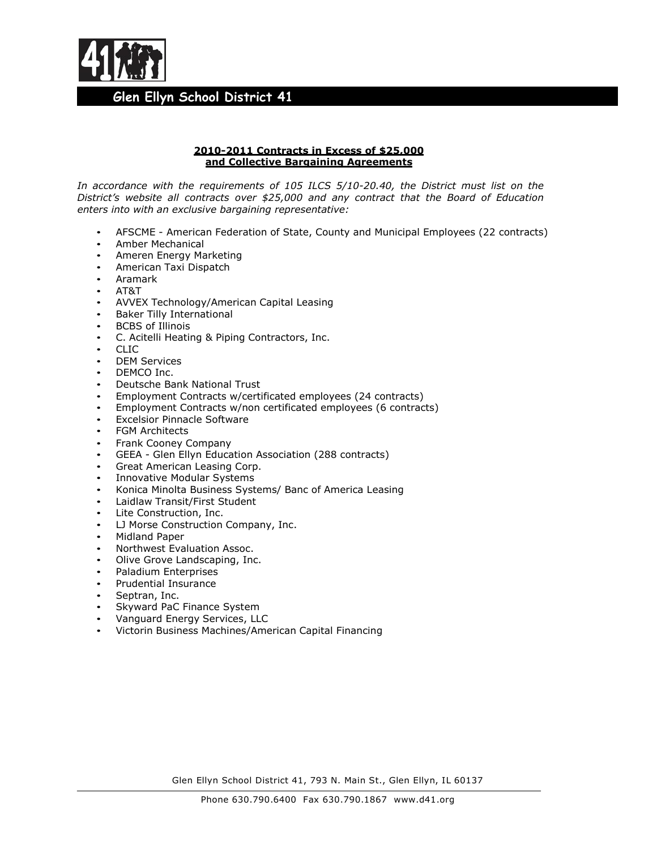

### **2010-2011 Contracts in Excess of \$25,000 and Collective Bargaining Agreements**

*In accordance with the requirements of 105 ILCS 5/10-20.40, the District must list on the District's website all contracts over \$25,000 and any contract that the Board of Education enters into with an exclusive bargaining representative:*

- AFSCME American Federation of State, County and Municipal Employees (22 contracts)
- Amber Mechanical
- Ameren Energy Marketing
- American Taxi Dispatch
- Aramark
- AT&T
- AVVEX Technology/American Capital Leasing
- Baker Tilly International
- **BCBS** of Illinois
- C. Acitelli Heating & Piping Contractors, Inc.
- CLIC
- DEM Services
- DEMCO Inc.
- Deutsche Bank National Trust
- Employment Contracts w/certificated employees (24 contracts)
- Employment Contracts w/non certificated employees (6 contracts)
- **Excelsior Pinnacle Software**
- FGM Architects
- Frank Cooney Company
- GEEA Glen Ellyn Education Association (288 contracts)
- Great American Leasing Corp.
- Innovative Modular Systems
- Konica Minolta Business Systems/ Banc of America Leasing
- Laidlaw Transit/First Student
- Lite Construction, Inc.
- LJ Morse Construction Company, Inc.
- Midland Paper
- Northwest Evaluation Assoc.
- Olive Grove Landscaping, Inc.
- Paladium Enterprises
- Prudential Insurance
- Septran, Inc.
- Skyward PaC Finance System
- Vanguard Energy Services, LLC
- Victorin Business Machines/American Capital Financing